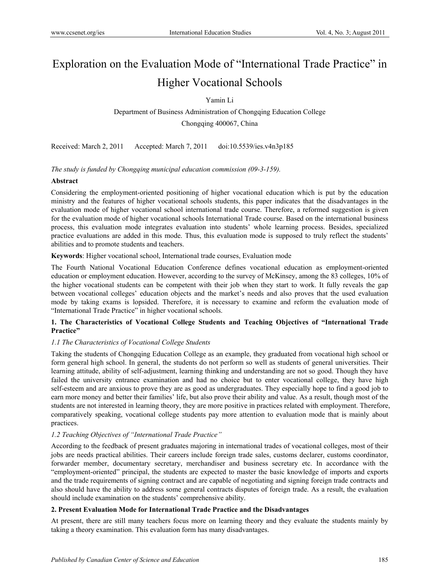# Exploration on the Evaluation Mode of "International Trade Practice" in Higher Vocational Schools

Yamin Li

Department of Business Administration of Chongqing Education College Chongqing 400067, China

Received: March 2, 2011 Accepted: March 7, 2011 doi:10.5539/ies.v4n3p185

*The study is funded by Chongqing municipal education commission (09-3-159).* 

# **Abstract**

Considering the employment-oriented positioning of higher vocational education which is put by the education ministry and the features of higher vocational schools students, this paper indicates that the disadvantages in the evaluation mode of higher vocational school international trade course. Therefore, a reformed suggestion is given for the evaluation mode of higher vocational schools International Trade course. Based on the international business process, this evaluation mode integrates evaluation into students' whole learning process. Besides, specialized practice evaluations are added in this mode. Thus, this evaluation mode is supposed to truly reflect the students' abilities and to promote students and teachers.

**Keywords**: Higher vocational school, International trade courses, Evaluation mode

The Fourth National Vocational Education Conference defines vocational education as employment-oriented education or employment education. However, according to the survey of McKinsey, among the 83 colleges, 10% of the higher vocational students can be competent with their job when they start to work. It fully reveals the gap between vocational colleges' education objects and the market's needs and also proves that the used evaluation mode by taking exams is lopsided. Therefore, it is necessary to examine and reform the evaluation mode of "International Trade Practice" in higher vocational schools.

# **1. The Characteristics of Vocational College Students and Teaching Objectives of "International Trade Practice"**

# *1.1 The Characteristics of Vocational College Students*

Taking the students of Chongqing Education College as an example, they graduated from vocational high school or form general high school. In general, the students do not perform so well as students of general universities. Their learning attitude, ability of self-adjustment, learning thinking and understanding are not so good. Though they have failed the university entrance examination and had no choice but to enter vocational college, they have high self-esteem and are anxious to prove they are as good as undergraduates. They especially hope to find a good job to earn more money and better their families' life, but also prove their ability and value. As a result, though most of the students are not interested in learning theory, they are more positive in practices related with employment. Therefore, comparatively speaking, vocational college students pay more attention to evaluation mode that is mainly about practices.

# *1.2 Teaching Objectives of "International Trade Practice"*

According to the feedback of present graduates majoring in international trades of vocational colleges, most of their jobs are needs practical abilities. Their careers include foreign trade sales, customs declarer, customs coordinator, forwarder member, documentary secretary, merchandiser and business secretary etc. In accordance with the "employment-oriented" principal, the students are expected to master the basic knowledge of imports and exports and the trade requirements of signing contract and are capable of negotiating and signing foreign trade contracts and also should have the ability to address some general contracts disputes of foreign trade. As a result, the evaluation should include examination on the students' comprehensive ability.

## **2. Present Evaluation Mode for International Trade Practice and the Disadvantages**

At present, there are still many teachers focus more on learning theory and they evaluate the students mainly by taking a theory examination. This evaluation form has many disadvantages.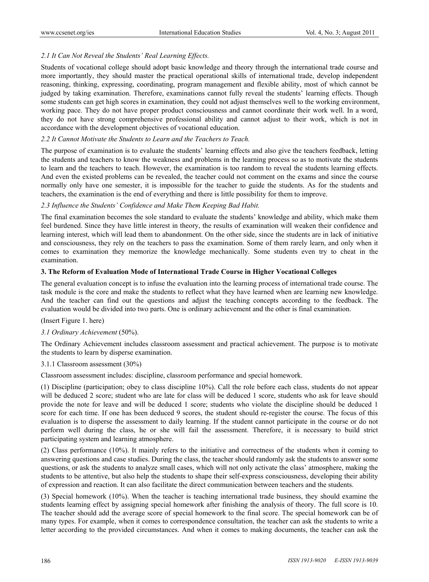# *2.1 It Can Not Reveal the Students' Real Learning Effects.*

Students of vocational college should adopt basic knowledge and theory through the international trade course and more importantly, they should master the practical operational skills of international trade, develop independent reasoning, thinking, expressing, coordinating, program management and flexible ability, most of which cannot be judged by taking examination. Therefore, examinations cannot fully reveal the students' learning effects. Though some students can get high scores in examination, they could not adjust themselves well to the working environment, working pace. They do not have proper product consciousness and cannot coordinate their work well. In a word, they do not have strong comprehensive professional ability and cannot adjust to their work, which is not in accordance with the development objectives of vocational education.

## *2.2 It Cannot Motivate the Students to Learn and the Teachers to Teach.*

The purpose of examination is to evaluate the students' learning effects and also give the teachers feedback, letting the students and teachers to know the weakness and problems in the learning process so as to motivate the students to learn and the teachers to teach. However, the examination is too random to reveal the students learning effects. And even the existed problems can be revealed, the teacher could not comment on the exams and since the course normally only have one semester, it is impossible for the teacher to guide the students. As for the students and teachers, the examination is the end of everything and there is little possibility for them to improve.

# *2.3 Influence the Students' Confidence and Make Them Keeping Bad Habit.*

The final examination becomes the sole standard to evaluate the students' knowledge and ability, which make them feel burdened. Since they have little interest in theory, the results of examination will weaken their confidence and learning interest, which will lead them to abandonment. On the other side, since the students are in lack of initiative and consciousness, they rely on the teachers to pass the examination. Some of them rarely learn, and only when it comes to examination they memorize the knowledge mechanically. Some students even try to cheat in the examination.

## **3. The Reform of Evaluation Mode of International Trade Course in Higher Vocational Colleges**

The general evaluation concept is to infuse the evaluation into the learning process of international trade course. The task module is the core and make the students to reflect what they have learned when are learning new knowledge. And the teacher can find out the questions and adjust the teaching concepts according to the feedback. The evaluation would be divided into two parts. One is ordinary achievement and the other is final examination.

(Insert Figure 1. here)

## *3.1 Ordinary Achievement* (50%).

The Ordinary Achievement includes classroom assessment and practical achievement. The purpose is to motivate the students to learn by disperse examination.

## 3.1.1 Classroom assessment (30%)

Classroom assessment includes: discipline, classroom performance and special homework.

(1) Discipline (participation; obey to class discipline 10%). Call the role before each class, students do not appear will be deduced 2 score; student who are late for class will be deduced 1 score, students who ask for leave should provide the note for leave and will be deduced 1 score; students who violate the discipline should be deduced 1 score for each time. If one has been deduced 9 scores, the student should re-register the course. The focus of this evaluation is to disperse the assessment to daily learning. If the student cannot participate in the course or do not perform well during the class, he or she will fail the assessment. Therefore, it is necessary to build strict participating system and learning atmosphere.

(2) Class performance (10%). It mainly refers to the initiative and correctness of the students when it coming to answering questions and case studies. During the class, the teacher should randomly ask the students to answer some questions, or ask the students to analyze small cases, which will not only activate the class' atmosphere, making the students to be attentive, but also help the students to shape their self-express consciousness, developing their ability of expression and reaction. It can also facilitate the direct communication between teachers and the students.

(3) Special homework (10%). When the teacher is teaching international trade business, they should examine the students learning effect by assigning special homework after finishing the analysis of theory. The full score is 10. The teacher should add the average score of special homework to the final score. The special homework can be of many types. For example, when it comes to correspondence consultation, the teacher can ask the students to write a letter according to the provided circumstances. And when it comes to making documents, the teacher can ask the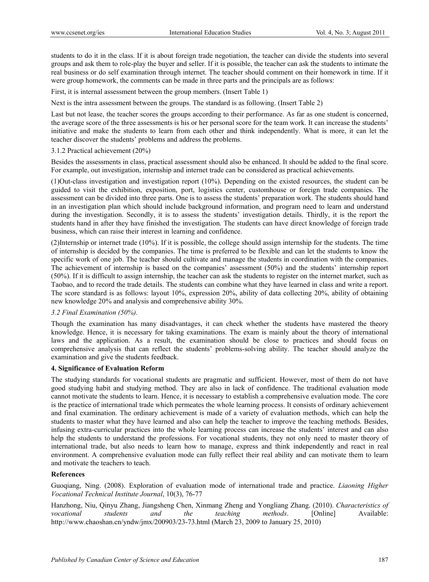students to do it in the class. If it is about foreign trade negotiation, the teacher can divide the students into several groups and ask them to role-play the buyer and seller. If it is possible, the teacher can ask the students to intimate the real business or do self examination through internet. The teacher should comment on their homework in time. If it were group homework, the comments can be made in three parts and the principals are as follows:

First, it is internal assessment between the group members. (Insert Table 1)

Next is the intra assessment between the groups. The standard is as following. (Insert Table 2)

Last but not lease, the teacher scores the groups according to their performance. As far as one student is concerned, the average score of the three assessments is his or her personal score for the team work. It can increase the students' initiative and make the students to learn from each other and think independently. What is more, it can let the teacher discover the students' problems and address the problems.

#### 3.1.2 Practical achievement (20%)

Besides the assessments in class, practical assessment should also be enhanced. It should be added to the final score. For example, out investigation, internship and internet trade can be considered as practical achievements.

(1)Out-class investigation and investigation report (10%). Depending on the existed resources, the student can be guided to visit the exhibition, exposition, port, logistics center, customhouse or foreign trade companies. The assessment can be divided into three parts. One is to assess the students' preparation work. The students should hand in an investigation plan which should include background information, and program need to learn and understand during the investigation. Secondly, it is to assess the students' investigation details. Thirdly, it is the report the students hand in after they have finished the investigation. The students can have direct knowledge of foreign trade business, which can raise their interest in learning and confidence.

(2)Internship or internet trade (10%). If it is possible, the college should assign internship for the students. The time of internship is decided by the companies. The time is preferred to be flexible and can let the students to know the specific work of one job. The teacher should cultivate and manage the students in coordination with the companies. The achievement of internship is based on the companies' assessment (50%) and the students' internship report (50%). If it is difficult to assign internship, the teacher can ask the students to register on the internet market, such as Taobao, and to record the trade details. The students can combine what they have learned in class and write a report. The score standard is as follows: layout 10%, expression 20%, ability of data collecting 20%, ability of obtaining new knowledge 20% and analysis and comprehensive ability 30%.

## *3.2 Final Examination (50%).*

Though the examination has many disadvantages, it can check whether the students have mastered the theory knowledge. Hence, it is necessary for taking examinations. The exam is mainly about the theory of international laws and the application. As a result, the examination should be close to practices and should focus on comprehensive analysis that can reflect the students' problems-solving ability. The teacher should analyze the examination and give the students feedback.

#### **4. Significance of Evaluation Reform**

The studying standards for vocational students are pragmatic and sufficient. However, most of them do not have good studying habit and studying method. They are also in lack of confidence. The traditional evaluation mode cannot motivate the students to learn. Hence, it is necessary to establish a comprehensive evaluation mode. The core is the practice of international trade which permeates the whole learning process. It consists of ordinary achievement and final examination. The ordinary achievement is made of a variety of evaluation methods, which can help the students to master what they have learned and also can help the teacher to improve the teaching methods. Besides, infusing extra-curricular practices into the whole learning process can increase the students' interest and can also help the students to understand the professions. For vocational students, they not only need to master theory of international trade, but also needs to learn how to manage, express and think independently and react in real environment. A comprehensive evaluation mode can fully reflect their real ability and can motivate them to learn and motivate the teachers to teach.

#### **References**

Guoqiang, Ning. (2008). Exploration of evaluation mode of international trade and practice. *Liaoning Higher Vocational Technical Institute Journal*, 10(3), 76-77

Hanzhong, Niu, Qinyu Zhang, Jiangsheng Chen, Xinmang Zheng and Yongliang Zhang. (2010). *Characteristics of vocational students and the teaching methods*. [Online] Available: http://www.chaoshan.cn/yndw/jmx/200903/23-73.html (March 23, 2009 to January 25, 2010)